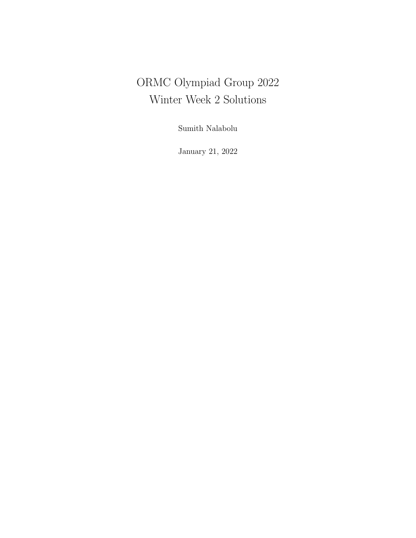# ORMC Olympiad Group 2022 Winter Week 2 Solutions

Sumith Nalabolu

January 21, 2022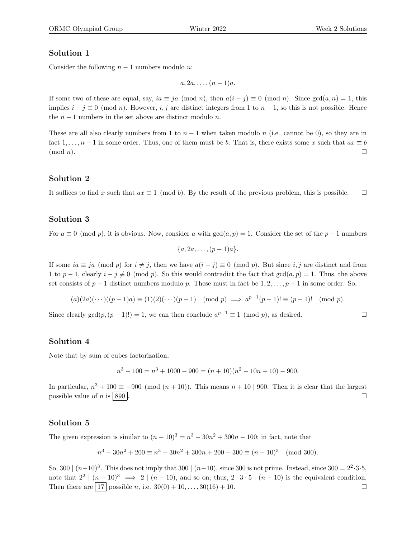# Solution 1

Consider the following  $n - 1$  numbers modulo n:

 $a, 2a, \ldots, (n-1)a$ .

If some two of these are equal, say,  $ia \equiv ja \pmod{n}$ , then  $a(i - j) \equiv 0 \pmod{n}$ . Since  $gcd(a, n) = 1$ , this implies  $i - j \equiv 0 \pmod{n}$ . However, i, j are distinct integers from 1 to  $n - 1$ , so this is not possible. Hence the  $n-1$  numbers in the set above are distinct modulo n.

These are all also clearly numbers from 1 to  $n-1$  when taken modulo n (i.e. cannot be 0), so they are in fact 1, ...,  $n-1$  in some order. Thus, one of them must be b. That is, there exists some x such that  $ax \equiv b$  $(\text{mod } n).$ 

# Solution 2

It suffices to find x such that  $ax \equiv 1 \pmod{b}$ . By the result of the previous problem, this is possible.  $\square$ 

#### Solution 3

For  $a \equiv 0 \pmod{p}$ , it is obvious. Now, consider a with  $gcd(a, p) = 1$ . Consider the set of the  $p - 1$  numbers

$$
{a, 2a, \ldots, (p-1)a}.
$$

If some  $ia \equiv ja \pmod{p}$  for  $i \neq j$ , then we have  $a(i - j) \equiv 0 \pmod{p}$ . But since i, j are distinct and from 1 to p − 1, clearly  $i - j \neq 0 \pmod{p}$ . So this would contradict the fact that  $gcd(a, p) = 1$ . Thus, the above set consists of  $p-1$  distinct numbers modulo p. These must in fact be  $1, 2, \ldots, p-1$  in some order. So,

$$
(a)(2a)(\cdots)((p-1)a) \equiv (1)(2)(\cdots)(p-1) \pmod{p} \implies a^{p-1}(p-1)! \equiv (p-1)! \pmod{p}.
$$

Since clearly  $gcd(p, (p-1)!) = 1$ , we can then conclude  $a^{p-1} \equiv 1 \pmod{p}$ , as desired.

#### Solution 4

Note that by sum of cubes factorization,

$$
n^3 + 100 = n^3 + 1000 - 900 = (n+10)(n^2 - 10n + 10) - 900.
$$

In particular,  $n^3 + 100 \equiv -900 \pmod{(n+10)}$ . This means  $n + 10$  | 900. Then it is clear that the largest possible value of n is  $\boxed{890}$ .

#### Solution 5

The given expression is similar to  $(n-10)^3 = n^3 - 30n^2 + 300n - 100$ ; in fact, note that

$$
n^3 - 30n^2 + 200 \equiv n^3 - 30n^2 + 300n + 200 - 300 \equiv (n - 10)^3 \pmod{300}.
$$

So, 300  $\mid (n-10)^3$ . This does not imply that 300  $\mid (n-10)$ , since 300 is not prime. Instead, since 300 =  $2^2 \cdot 3 \cdot 5$ , note that  $2^2 \mid (n-10)^3 \implies 2 \mid (n-10)$ , and so on; thus,  $2 \cdot 3 \cdot 5 \mid (n-10)$  is the equivalent condition. Then there are  $\boxed{17}$  possible n, i.e.  $30(0) + 10, \ldots, 30(16) + 10$ .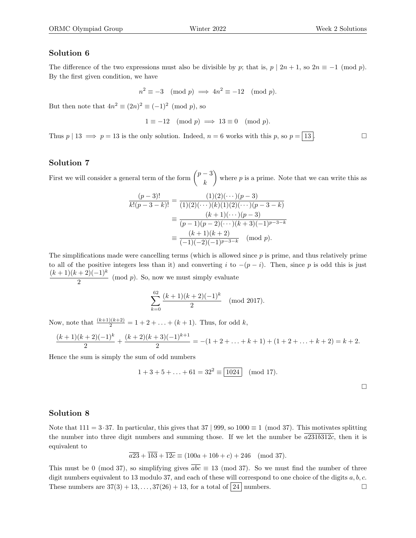# Solution 6

The difference of the two expressions must also be divisible by p; that is,  $p \mid 2n + 1$ , so  $2n \equiv -1 \pmod{p}$ . By the first given condition, we have

$$
n^2 \equiv -3 \pmod{p} \implies 4n^2 \equiv -12 \pmod{p}.
$$

But then note that  $4n^2 \equiv (2n)^2 \equiv (-1)^2 \pmod{p}$ , so

$$
1 \equiv -12 \pmod{p} \implies 13 \equiv 0 \pmod{p}.
$$

Thus  $p | 13 \implies p = 13$  is the only solution. Indeed,  $n = 6$  works with this p, so  $p = | 13 |$ .

# Solution 7

First we will consider a general term of the form  $\binom{p-3}{1}$ k where  $p$  is a prime. Note that we can write this as

$$
\frac{(p-3)!}{k!(p-3-k)!} = \frac{(1)(2)(\cdots)(p-3)}{(1)(2)(\cdots)(k)(1)(2)(\cdots)(p-3-k)}
$$

$$
\equiv \frac{(k+1)(\cdots)(p-3)}{(p-1)(p-2)(\cdots)(k+3)(-1)^{p-3-k}}
$$

$$
\equiv \frac{(k+1)(k+2)}{(-1)(-2)(-1)^{p-3-k}} \pmod{p}.
$$

The simplifications made were cancelling terms (which is allowed since  $p$  is prime, and thus relatively prime to all of the positive integers less than it) and converting i to  $-(p-i)$ . Then, since p is odd this is just  $(k + 1)(k + 2)(-1)^k$  $\frac{1}{2}$  (mod p). So, now we must simply evaluate

$$
\sum_{k=0}^{62} \frac{(k+1)(k+2)(-1)^k}{2}
$$
 (mod 2017).

Now, note that  $\frac{(k+1)(k+2)}{2} = 1 + 2 + \ldots + (k+1)$ . Thus, for odd k,

$$
\frac{(k+1)(k+2)(-1)^k}{2} + \frac{(k+2)(k+3)(-1)^{k+1}}{2} = -(1+2+\ldots+k+1) + (1+2+\ldots+k+2) = k+2.
$$

Hence the sum is simply the sum of odd numbers

$$
1 + 3 + 5 + \ldots + 61 = 32^2 \equiv \boxed{1024} \pmod{17}.
$$

#### Solution 8

Note that  $111 = 3.37$ . In particular, this gives that  $37 | 999$ , so  $1000 \equiv 1 \pmod{37}$ . This motivates splitting the number into three digit numbers and summing those. If we let the number be  $a231b312c$ , then it is equivalent to

$$
\overline{a23} + \overline{1b3} + \overline{12c} \equiv (100a + 10b + c) + 246 \pmod{37}.
$$

This must be 0 (mod 37), so simplifying gives  $\overline{abc} \equiv 13 \pmod{37}$ . So we must find the number of three digit numbers equivalent to 13 modulo 37, and each of these will correspond to one choice of the digits  $a, b, c$ . These numbers are  $37(3) + 13, \ldots, 37(26) + 13$ , for a total of  $\boxed{24}$  numbers.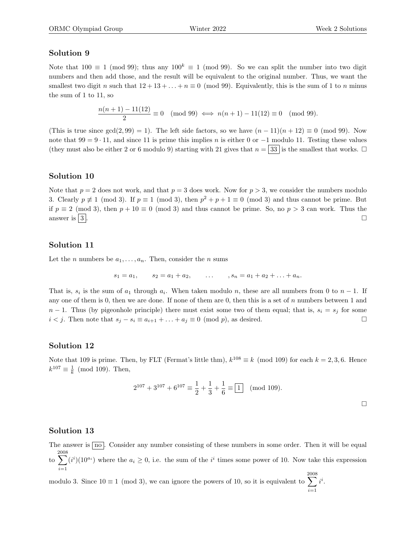# Solution 9

Note that  $100 \equiv 1 \pmod{99}$ ; thus any  $100^k \equiv 1 \pmod{99}$ . So we can split the number into two digit numbers and then add those, and the result will be equivalent to the original number. Thus, we want the smallest two digit n such that  $12 + 13 + \ldots + n \equiv 0 \pmod{99}$ . Equivalently, this is the sum of 1 to n minus the sum of 1 to 11, so

$$
\frac{n(n+1) - 11(12)}{2} \equiv 0 \pmod{99} \iff n(n+1) - 11(12) \equiv 0 \pmod{99}.
$$

(This is true since  $gcd(2, 99) = 1$ ). The left side factors, so we have  $(n - 11)(n + 12) \equiv 0 \pmod{99}$ . Now note that  $99 = 9 \cdot 11$ , and since 11 is prime this implies n is either 0 or  $-1$  modulo 11. Testing these values (they must also be either 2 or 6 modulo 9) starting with 21 gives that  $n = 33$  is the smallest that works.  $\Box$ 

# Solution 10

Note that  $p = 2$  does not work, and that  $p = 3$  does work. Now for  $p > 3$ , we consider the numbers modulo 3. Clearly  $p \not\equiv 1 \pmod{3}$ . If  $p \equiv 1 \pmod{3}$ , then  $p^2 + p + 1 \equiv 0 \pmod{3}$  and thus cannot be prime. But if  $p \equiv 2 \pmod{3}$ , then  $p + 10 \equiv 0 \pmod{3}$  and thus cannot be prime. So, no  $p > 3$  can work. Thus the answer is  $\boxed{3}$ .

#### Solution 11

Let the *n* numbers be  $a_1, \ldots, a_n$ . Then, consider the *n* sums

$$
s_1 = a_1
$$
,  $s_2 = a_1 + a_2$ , ...,  $s_n = a_1 + a_2 + ... + a_n$ .

That is,  $s_i$  is the sum of  $a_1$  through  $a_i$ . When taken modulo n, these are all numbers from 0 to  $n-1$ . If any one of them is 0, then we are done. If none of them are 0, then this is a set of  $n$  numbers between 1 and  $n-1$ . Thus (by pigeonhole principle) there must exist some two of them equal; that is,  $s_i = s_j$  for some *i* < *j*. Then note that  $s_j - s_i \equiv a_{i+1} + ... + a_j \equiv 0 \pmod{p}$ , as desired.  $\Box$ 

#### Solution 12

Note that 109 is prime. Then, by FLT (Fermat's little thm),  $k^{108} \equiv k \pmod{109}$  for each  $k = 2, 3, 6$ . Hence  $k^{107} \equiv \frac{1}{k} \pmod{109}$ . Then,

$$
2^{107} + 3^{107} + 6^{107} \equiv \frac{1}{2} + \frac{1}{3} + \frac{1}{6} \equiv \boxed{1} \pmod{109}.
$$

# Solution 13

The answer is  $\overline{no}$ . Consider any number consisting of these numbers in some order. Then it will be equal to 2008 X  $i=1$  $(i^i)(10^{a_i})$  where the  $a_i \geq 0$ , i.e. the sum of the  $i^i$  times some power of 10. Now take this expression

modulo 3. Since  $10 \equiv 1 \pmod{3}$ , we can ignore the powers of 10, so it is equivalent to 2008 X  $i=1$  $i^i$ .